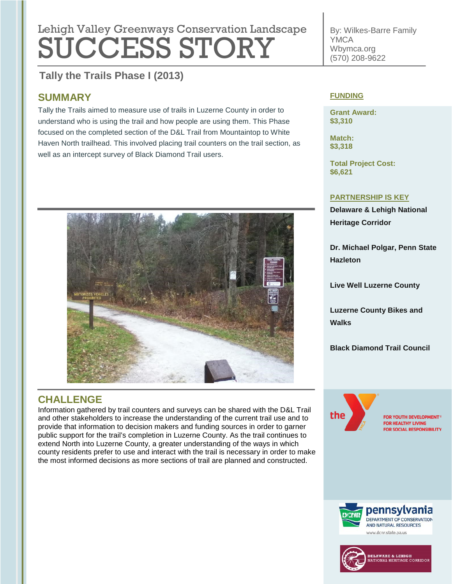# **Lebish Velley Que environmental regulation Lengtheres** Lehigh Valley Greenways Conservation Landscape **SÜCCESS STORY**

**Tally the Trails Phase I (2013) Tree Revitalization (2011)**

# **SUMMARY**

Tally the Trails aimed to measure use of trails in Luzerne County in order to understand who is using the trail and how people are using them. This Phase focused on the completed section of the D&L Trail from Mountaintop to White Haven North trailhead. This involved placing trail counters on the trail section, as well as an intercept survey of Black Diamond Trail users.



# **CHALLENGE**

Information gathered by trail counters and surveys can be shared with the D&L Trail and other stakeholders to increase the understanding of the current trail use and to provide that information to decision makers and funding sources in order to garner public support for the trail's completion in Luzerne County. As the trail continues to extend North into Luzerne County, a greater understanding of the ways in which county residents prefer to use and interact with the trail is necessary in order to make the most informed decisions as more sections of trail are planned and constructed.

By: Wilkes-Barre Family **YMCA** Wbymca.org (570) 208-9622

#### **FUNDING**

**Grant Award: \$3,310**

**Match: \$3,318**

**Total Project Cost: \$6,621**

#### **PARTNERSHIP IS KEY**

**Delaware & Lehigh National Heritage Corridor**

**Dr. Michael Polgar, Penn State Hazleton**

**Live Well Luzerne County**

**Luzerne County Bikes and Walks**

**Black Diamond Trail Council**